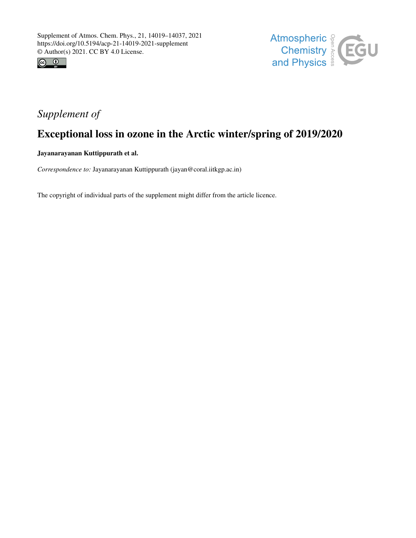



# *Supplement of*

## Exceptional loss in ozone in the Arctic winter/spring of 2019/2020

Jayanarayanan Kuttippurath et al.

*Correspondence to:* Jayanarayanan Kuttippurath (jayan@coral.iitkgp.ac.in)

The copyright of individual parts of the supplement might differ from the article licence.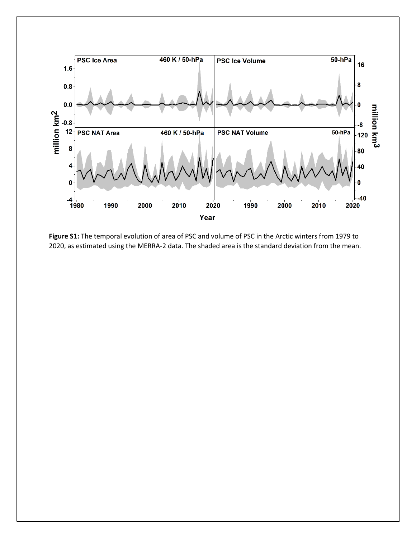

**Figure S1:** The temporal evolution of area of PSC and volume of PSC in the Arctic winters from 1979 to 2020, as estimated using the MERRA-2 data. The shaded area is the standard deviation from the mean.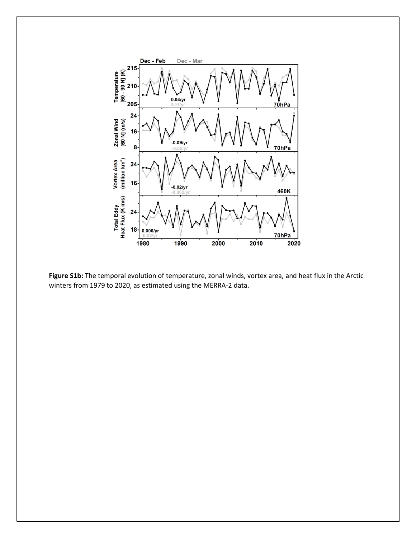

**Figure S1b:** The temporal evolution of temperature, zonal winds, vortex area, and heat flux in the Arctic winters from 1979 to 2020, as estimated using the MERRA-2 data.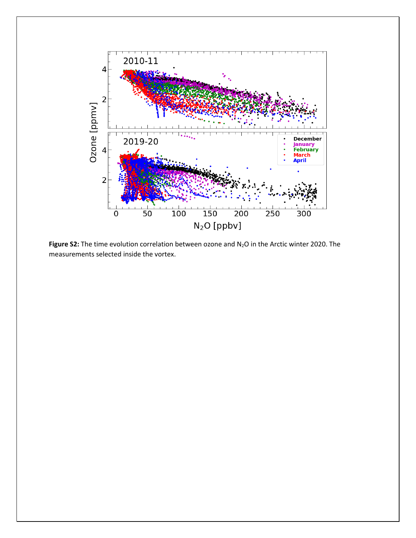

Figure S2: The time evolution correlation between ozone and N<sub>2</sub>O in the Arctic winter 2020. The measurements selected inside the vortex.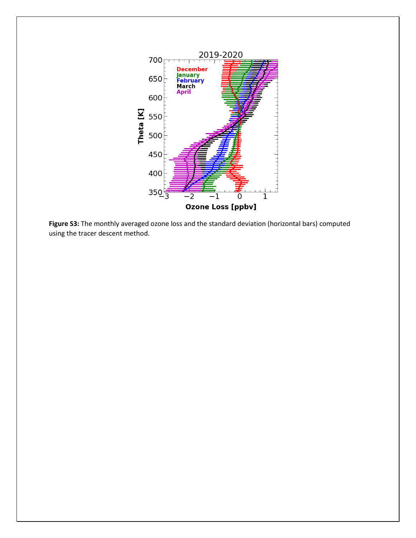

**Figure S3:** The monthly averaged ozone loss and the standard deviation (horizontal bars) computed using the tracer descent method.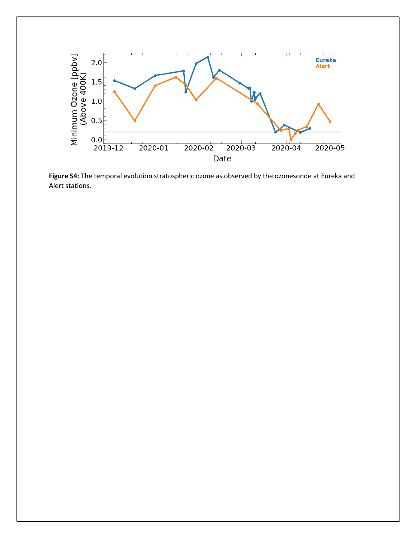

**Figure S4:** The temporal evolution stratospheric ozone as observed by the ozonesonde at Eureka and Alert stations.